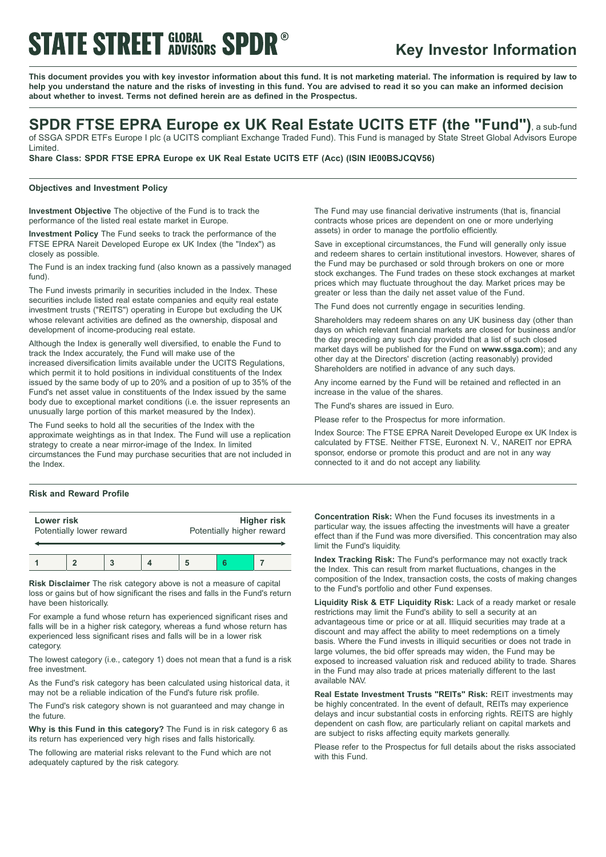# **STATE STREET GLOBAL SPDR®**

# **Key Investor Information**

This document provides you with key investor information about this fund. It is not marketing material. The information is required by law to help you understand the nature and the risks of investing in this fund. You are advised to read it so you can make an informed decision **about whether to invest. Terms not defined herein are as defined in the Prospectus.**

## **SPDR FTSE EPRA Europe ex UK Real Estate UCITS ETF (the "Fund")**, <sup>a</sup> sub-fund

of SSGA SPDR ETFs Europe I plc (a UCITS compliant Exchange Traded Fund). This Fund is managed by State Street Global Advisors Europe Limited.

**Share Class: SPDR FTSE EPRA Europe ex UK Real Estate UCITS ETF (Acc) (ISIN IE00BSJCQV56)**

### **Objectives and Investment Policy**

**Investment Objective** The objective of the Fund is to track the performance of the listed real estate market in Europe.

**Investment Policy** The Fund seeks to track the performance of the FTSE EPRA Nareit Developed Europe ex UK Index (the "Index") as closely as possible.

The Fund is an index tracking fund (also known as a passively managed fund).

The Fund invests primarily in securities included in the Index. These securities include listed real estate companies and equity real estate investment trusts ("REITS") operating in Europe but excluding the UK whose relevant activities are defined as the ownership, disposal and development of income-producing real estate.

Although the Index is generally well diversified, to enable the Fund to track the Index accurately, the Fund will make use of the increased diversification limits available under the UCITS Regulations, which permit it to hold positions in individual constituents of the Index issued by the same body of up to 20% and a position of up to 35% of the Fund's net asset value in constituents of the Index issued by the same body due to exceptional market conditions (i.e. the issuer represents an unusually large portion of this market measured by the Index).

The Fund seeks to hold all the securities of the Index with the approximate weightings as in that Index. The Fund will use a replication strategy to create a near mirror-image of the Index. In limited circumstances the Fund may purchase securities that are not included in the Index.

### **Risk and Reward Profile**

| Lower risk               |  |  |  | <b>Higher risk</b>        |  |  |  |
|--------------------------|--|--|--|---------------------------|--|--|--|
| Potentially lower reward |  |  |  | Potentially higher reward |  |  |  |
|                          |  |  |  |                           |  |  |  |

**Risk Disclaimer** The risk category above is not a measure of capital loss or gains but of how significant the rises and falls in the Fund's return have been historically.

For example a fund whose return has experienced significant rises and falls will be in a higher risk category, whereas a fund whose return has experienced less significant rises and falls will be in a lower risk category.

The lowest category (i.e., category 1) does not mean that a fund is a risk free investment.

As the Fund's risk category has been calculated using historical data, it may not be a reliable indication of the Fund's future risk profile.

The Fund's risk category shown is not guaranteed and may change in the future.

**Why is this Fund in this category?** The Fund is in risk category 6 as its return has experienced very high rises and falls historically.

The following are material risks relevant to the Fund which are not adequately captured by the risk category.

The Fund may use financial derivative instruments (that is, financial contracts whose prices are dependent on one or more underlying assets) in order to manage the portfolio efficiently.

Save in exceptional circumstances, the Fund will generally only issue and redeem shares to certain institutional investors. However, shares of the Fund may be purchased or sold through brokers on one or more stock exchanges. The Fund trades on these stock exchanges at market prices which may fluctuate throughout the day. Market prices may be greater or less than the daily net asset value of the Fund.

The Fund does not currently engage in securities lending.

Shareholders may redeem shares on any UK business day (other than days on which relevant financial markets are closed for business and/or the day preceding any such day provided that a list of such closed market days will be published for the Fund on **www.ssga.com**); and any other day at the Directors' discretion (acting reasonably) provided Shareholders are notified in advance of any such days.

Any income earned by the Fund will be retained and reflected in an increase in the value of the shares.

The Fund's shares are issued in Euro.

Please refer to the Prospectus for more information.

Index Source: The FTSE EPRA Nareit Developed Europe ex UK Index is calculated by FTSE. Neither FTSE, Euronext N. V., NAREIT nor EPRA sponsor, endorse or promote this product and are not in any way connected to it and do not accept any liability.

**Concentration Risk:** When the Fund focuses its investments in a particular way, the issues affecting the investments will have a greater effect than if the Fund was more diversified. This concentration may also limit the Fund's liquidity.

**Index Tracking Risk:** The Fund's performance may not exactly track the Index. This can result from market fluctuations, changes in the composition of the Index, transaction costs, the costs of making changes to the Fund's portfolio and other Fund expenses.

**Liquidity Risk & ETF Liquidity Risk:** Lack of a ready market or resale restrictions may limit the Fund's ability to sell a security at an advantageous time or price or at all. Illiquid securities may trade at a discount and may affect the ability to meet redemptions on a timely basis. Where the Fund invests in illiquid securities or does not trade in large volumes, the bid offer spreads may widen, the Fund may be exposed to increased valuation risk and reduced ability to trade. Shares in the Fund may also trade at prices materially different to the last available NAV.

**Real Estate Investment Trusts "REITs" Risk:** REIT investments may be highly concentrated. In the event of default, REITs may experience delays and incur substantial costs in enforcing rights. REITS are highly dependent on cash flow, are particularly reliant on capital markets and are subject to risks affecting equity markets generally.

Please refer to the Prospectus for full details about the risks associated with this Fund.